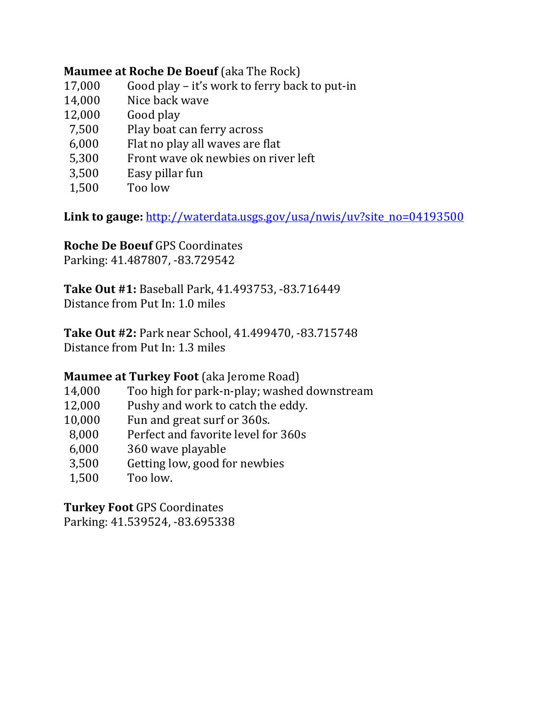## **Maumee at Roche De Boeuf** (aka The Rock)

- $17,000$  Good play it's work to ferry back to put-in
- 14,000 Nice back wave
- 12,000 Good play
- 7,500 Play boat can ferry across
- $6,000$  Flat no play all waves are flat
- 5,300 Front wave ok newbies on river left
- 3,500 Easy pillar fun
- 1,500 Too low

**Link to gauge:** http://waterdata.usgs.gov/usa/nwis/uv?site\_no=04193500 

**Roche De Boeuf** GPS Coordinates Parking: 41.487807, -83.729542

**Take Out #1:** Baseball Park, 41.493753, ‐83.716449 Distance from Put In: 1.0 miles

**Take Out #2: Park near School, 41.499470, -83.715748** Distance from Put In: 1.3 miles

## **Maumee at Turkey Foot** (aka Jerome Road)

- 14,000 Too high for park-n-play; washed downstream
- 12,000 Pushy and work to catch the eddy.
- 10,000 Fun and great surf or 360s.
- 8,000 Perfect and favorite level for 360s
- 6,000 360 wave playable
- 3,500 Getting low, good for newbies
- 1,500 Too low.

**Turkey Foot** GPS Coordinates Parking: 41.539524, -83.695338